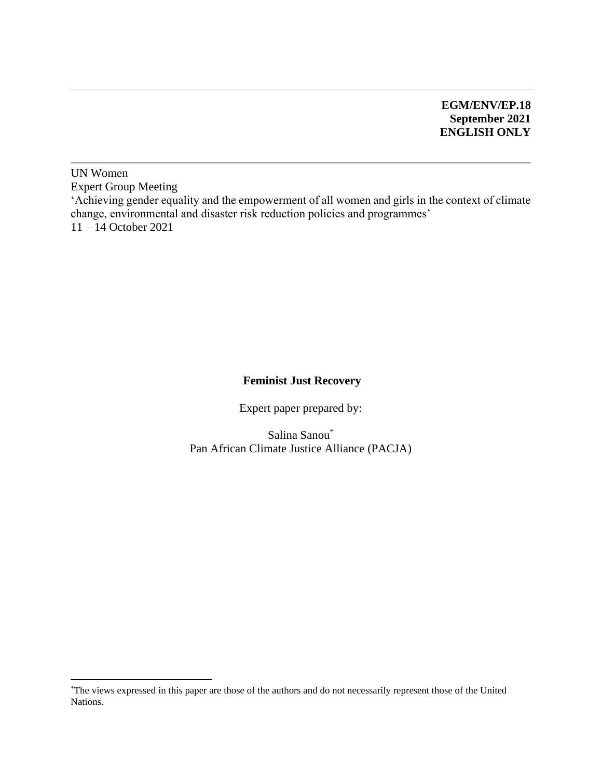#### **EGM/ENV/EP.18 September 2021 ENGLISH ONLY**

UN Women Expert Group Meeting 'Achieving gender equality and the empowerment of all women and girls in the context of climate change, environmental and disaster risk reduction policies and programmes' 11 – 14 October 2021

#### **Feminist Just Recovery**

Expert paper prepared by:

Salina Sanou\* Pan African Climate Justice Alliance (PACJA)

<sup>\*</sup>The views expressed in this paper are those of the authors and do not necessarily represent those of the United Nations.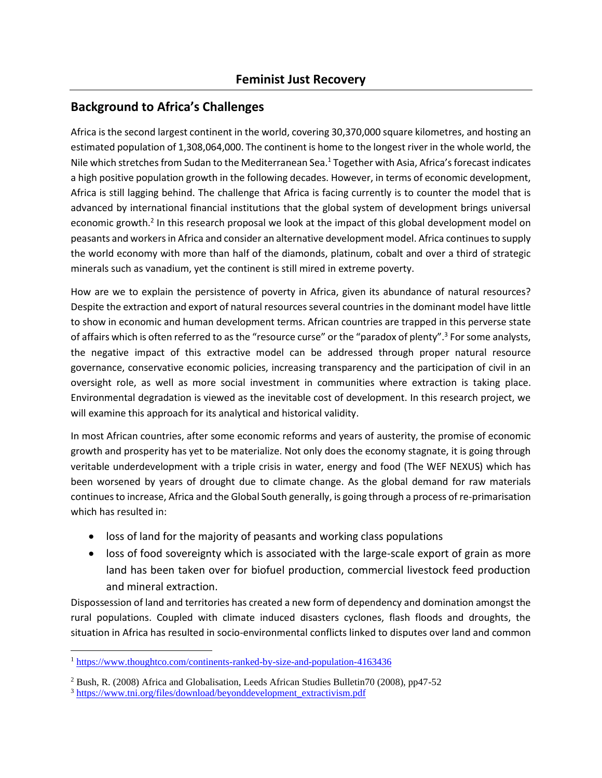#### **Background to Africa's Challenges**

Africa is the second largest continent in the world, covering 30,370,000 square kilometres, and hosting an estimated population of 1,308,064,000. The continent is home to the longest river in the whole world, the Nile which stretches from Sudan to the Mediterranean Sea.<sup>1</sup> Together with Asia, Africa's forecast indicates a high positive population growth in the following decades. However, in terms of economic development, Africa is still lagging behind. The challenge that Africa is facing currently is to counter the model that is advanced by international financial institutions that the global system of development brings universal economic growth.<sup>2</sup> In this research proposal we look at the impact of this global development model on peasants and workers in Africa and consider an alternative development model. Africa continues to supply the world economy with more than half of the diamonds, platinum, cobalt and over a third of strategic minerals such as vanadium, yet the continent is still mired in extreme poverty.

How are we to explain the persistence of poverty in Africa, given its abundance of natural resources? Despite the extraction and export of natural resources several countries in the dominant model have little to show in economic and human development terms. African countries are trapped in this perverse state of affairs which is often referred to as the "resource curse" or the "paradox of plenty".<sup>3</sup> For some analysts, the negative impact of this extractive model can be addressed through proper natural resource governance, conservative economic policies, increasing transparency and the participation of civil in an oversight role, as well as more social investment in communities where extraction is taking place. Environmental degradation is viewed as the inevitable cost of development. In this research project, we will examine this approach for its analytical and historical validity.

In most African countries, after some economic reforms and years of austerity, the promise of economic growth and prosperity has yet to be materialize. Not only does the economy stagnate, it is going through veritable underdevelopment with a triple crisis in water, energy and food (The WEF NEXUS) which has been worsened by years of drought due to climate change. As the global demand for raw materials continues to increase, Africa and the Global South generally, is going through a process of re-primarisation which has resulted in:

- loss of land for the majority of peasants and working class populations
- loss of food sovereignty which is associated with the large-scale export of grain as more land has been taken over for biofuel production, commercial livestock feed production and mineral extraction.

Dispossession of land and territories has created a new form of dependency and domination amongst the rural populations. Coupled with climate induced disasters cyclones, flash floods and droughts, the situation in Africa has resulted in socio-environmental conflicts linked to disputes over land and common

<sup>1</sup> <https://www.thoughtco.com/continents-ranked-by-size-and-population-4163436>

<sup>2</sup> Bush, R. (2008) Africa and Globalisation, Leeds African Studies Bulletin70 (2008), pp47-52

<sup>&</sup>lt;sup>3</sup> [https://www.tni.org/files/download/beyonddevelopment\\_extractivism.pdf](https://www.tni.org/files/download/beyonddevelopment_extractivism.pdf)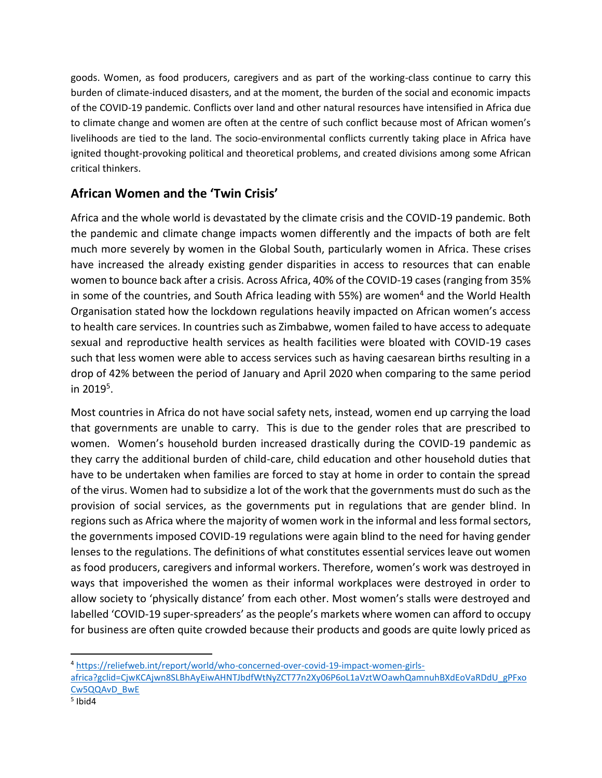goods. Women, as food producers, caregivers and as part of the working-class continue to carry this burden of climate-induced disasters, and at the moment, the burden of the social and economic impacts of the COVID-19 pandemic. Conflicts over land and other natural resources have intensified in Africa due to climate change and women are often at the centre of such conflict because most of African women's livelihoods are tied to the land. The socio-environmental conflicts currently taking place in Africa have ignited thought-provoking political and theoretical problems, and created divisions among some African critical thinkers.

# **African Women and the 'Twin Crisis'**

Africa and the whole world is devastated by the climate crisis and the COVID-19 pandemic. Both the pandemic and climate change impacts women differently and the impacts of both are felt much more severely by women in the Global South, particularly women in Africa. These crises have increased the already existing gender disparities in access to resources that can enable women to bounce back after a crisis. Across Africa, 40% of the COVID-19 cases (ranging from 35% in some of the countries, and South Africa leading with 55%) are women<sup>4</sup> and the World Health Organisation stated how the lockdown regulations heavily impacted on African women's access to health care services. In countries such as Zimbabwe, women failed to have access to adequate sexual and reproductive health services as health facilities were bloated with COVID-19 cases such that less women were able to access services such as having caesarean births resulting in a drop of 42% between the period of January and April 2020 when comparing to the same period in 2019<sup>5</sup>.

Most countries in Africa do not have social safety nets, instead, women end up carrying the load that governments are unable to carry. This is due to the gender roles that are prescribed to women. Women's household burden increased drastically during the COVID-19 pandemic as they carry the additional burden of child-care, child education and other household duties that have to be undertaken when families are forced to stay at home in order to contain the spread of the virus. Women had to subsidize a lot of the work that the governments must do such as the provision of social services, as the governments put in regulations that are gender blind. In regions such as Africa where the majority of women work in the informal and less formal sectors, the governments imposed COVID-19 regulations were again blind to the need for having gender lenses to the regulations. The definitions of what constitutes essential services leave out women as food producers, caregivers and informal workers. Therefore, women's work was destroyed in ways that impoverished the women as their informal workplaces were destroyed in order to allow society to 'physically distance' from each other. Most women's stalls were destroyed and labelled 'COVID-19 super-spreaders' as the people's markets where women can afford to occupy for business are often quite crowded because their products and goods are quite lowly priced as

<sup>4</sup> [https://reliefweb.int/report/world/who-concerned-over-covid-19-impact-women-girls-](https://reliefweb.int/report/world/who-concerned-over-covid-19-impact-women-girls-africa?gclid=CjwKCAjwn8SLBhAyEiwAHNTJbdfWtNyZCT77n2Xy06P6oL1aVztWOawhQamnuhBXdEoVaRDdU_gPFxoCw5QQAvD_BwE)

[africa?gclid=CjwKCAjwn8SLBhAyEiwAHNTJbdfWtNyZCT77n2Xy06P6oL1aVztWOawhQamnuhBXdEoVaRDdU\\_gPFxo](https://reliefweb.int/report/world/who-concerned-over-covid-19-impact-women-girls-africa?gclid=CjwKCAjwn8SLBhAyEiwAHNTJbdfWtNyZCT77n2Xy06P6oL1aVztWOawhQamnuhBXdEoVaRDdU_gPFxoCw5QQAvD_BwE) [Cw5QQAvD\\_BwE](https://reliefweb.int/report/world/who-concerned-over-covid-19-impact-women-girls-africa?gclid=CjwKCAjwn8SLBhAyEiwAHNTJbdfWtNyZCT77n2Xy06P6oL1aVztWOawhQamnuhBXdEoVaRDdU_gPFxoCw5QQAvD_BwE)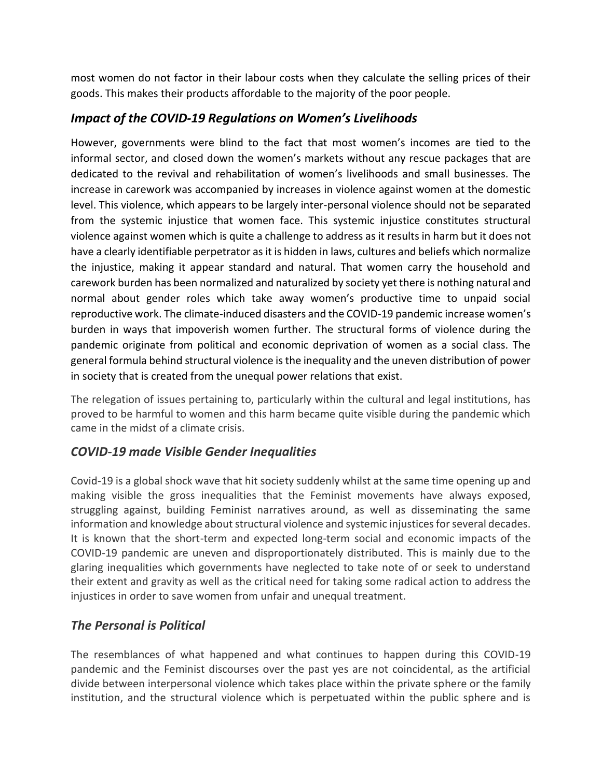most women do not factor in their labour costs when they calculate the selling prices of their goods. This makes their products affordable to the majority of the poor people.

### *Impact of the COVID-19 Regulations on Women's Livelihoods*

However, governments were blind to the fact that most women's incomes are tied to the informal sector, and closed down the women's markets without any rescue packages that are dedicated to the revival and rehabilitation of women's livelihoods and small businesses. The increase in carework was accompanied by increases in violence against women at the domestic level. This violence, which appears to be largely inter-personal violence should not be separated from the systemic injustice that women face. This systemic injustice constitutes structural violence against women which is quite a challenge to address as it results in harm but it does not have a clearly identifiable perpetrator as it is hidden in laws, cultures and beliefs which normalize the injustice, making it appear standard and natural. That women carry the household and carework burden has been normalized and naturalized by society yet there is nothing natural and normal about gender roles which take away women's productive time to unpaid social reproductive work. The climate-induced disasters and the COVID-19 pandemic increase women's burden in ways that impoverish women further. The structural forms of violence during the pandemic originate from political and economic deprivation of women as a social class. The general formula behind structural violence is the inequality and the uneven distribution of power in society that is created from the unequal power relations that exist.

The relegation of issues pertaining to, particularly within the cultural and legal institutions, has proved to be harmful to women and this harm became quite visible during the pandemic which came in the midst of a climate crisis.

# *COVID-19 made Visible Gender Inequalities*

Covid-19 is a global shock wave that hit society suddenly whilst at the same time opening up and making visible the gross inequalities that the Feminist movements have always exposed, struggling against, building Feminist narratives around, as well as disseminating the same information and knowledge about structural violence and systemic injustices for several decades. It is known that the short-term and expected long-term social and economic impacts of the COVID-19 pandemic are uneven and disproportionately distributed. This is mainly due to the glaring inequalities which governments have neglected to take note of or seek to understand their extent and gravity as well as the critical need for taking some radical action to address the injustices in order to save women from unfair and unequal treatment.

# *The Personal is Political*

The resemblances of what happened and what continues to happen during this COVID-19 pandemic and the Feminist discourses over the past yes are not coincidental, as the artificial divide between interpersonal violence which takes place within the private sphere or the family institution, and the structural violence which is perpetuated within the public sphere and is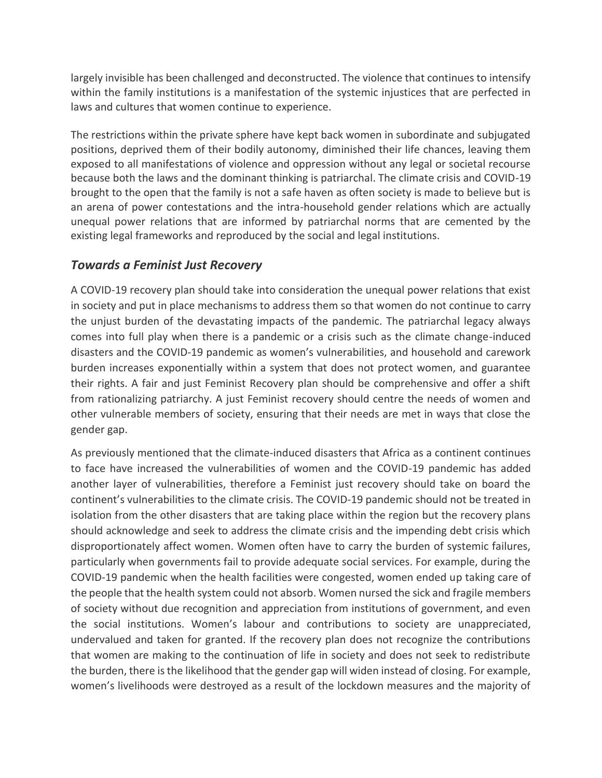largely invisible has been challenged and deconstructed. The violence that continues to intensify within the family institutions is a manifestation of the systemic injustices that are perfected in laws and cultures that women continue to experience.

The restrictions within the private sphere have kept back women in subordinate and subjugated positions, deprived them of their bodily autonomy, diminished their life chances, leaving them exposed to all manifestations of violence and oppression without any legal or societal recourse because both the laws and the dominant thinking is patriarchal. The climate crisis and COVID-19 brought to the open that the family is not a safe haven as often society is made to believe but is an arena of power contestations and the intra-household gender relations which are actually unequal power relations that are informed by patriarchal norms that are cemented by the existing legal frameworks and reproduced by the social and legal institutions.

#### *Towards a Feminist Just Recovery*

A COVID-19 recovery plan should take into consideration the unequal power relations that exist in society and put in place mechanisms to address them so that women do not continue to carry the unjust burden of the devastating impacts of the pandemic. The patriarchal legacy always comes into full play when there is a pandemic or a crisis such as the climate change-induced disasters and the COVID-19 pandemic as women's vulnerabilities, and household and carework burden increases exponentially within a system that does not protect women, and guarantee their rights. A fair and just Feminist Recovery plan should be comprehensive and offer a shift from rationalizing patriarchy. A just Feminist recovery should centre the needs of women and other vulnerable members of society, ensuring that their needs are met in ways that close the gender gap.

As previously mentioned that the climate-induced disasters that Africa as a continent continues to face have increased the vulnerabilities of women and the COVID-19 pandemic has added another layer of vulnerabilities, therefore a Feminist just recovery should take on board the continent's vulnerabilities to the climate crisis. The COVID-19 pandemic should not be treated in isolation from the other disasters that are taking place within the region but the recovery plans should acknowledge and seek to address the climate crisis and the impending debt crisis which disproportionately affect women. Women often have to carry the burden of systemic failures, particularly when governments fail to provide adequate social services. For example, during the COVID-19 pandemic when the health facilities were congested, women ended up taking care of the people that the health system could not absorb. Women nursed the sick and fragile members of society without due recognition and appreciation from institutions of government, and even the social institutions. Women's labour and contributions to society are unappreciated, undervalued and taken for granted. If the recovery plan does not recognize the contributions that women are making to the continuation of life in society and does not seek to redistribute the burden, there is the likelihood that the gender gap will widen instead of closing. For example, women's livelihoods were destroyed as a result of the lockdown measures and the majority of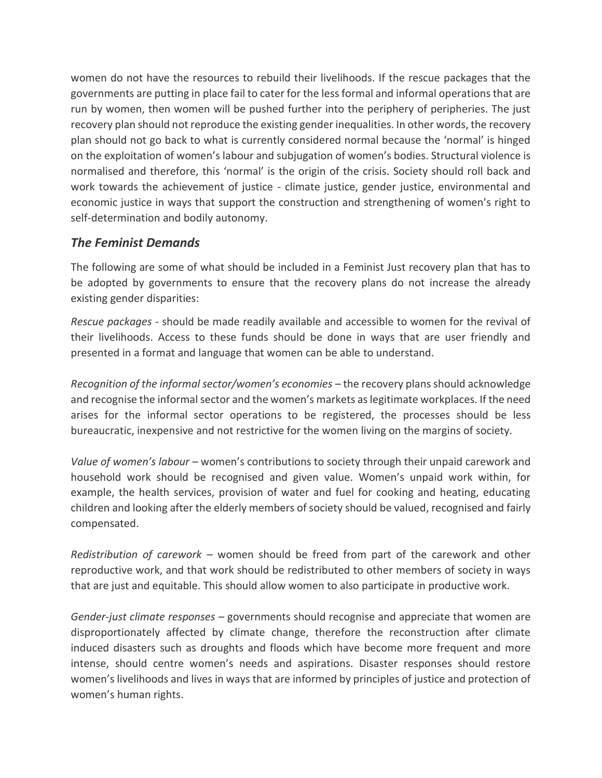women do not have the resources to rebuild their livelihoods. If the rescue packages that the governments are putting in place fail to cater for the less formal and informal operations that are run by women, then women will be pushed further into the periphery of peripheries. The just recovery plan should not reproduce the existing gender inequalities. In other words, the recovery plan should not go back to what is currently considered normal because the 'normal' is hinged on the exploitation of women's labour and subjugation of women's bodies. Structural violence is normalised and therefore, this 'normal' is the origin of the crisis. Society should roll back and work towards the achievement of justice - climate justice, gender justice, environmental and economic justice in ways that support the construction and strengthening of women's right to self-determination and bodily autonomy.

#### *The Feminist Demands*

The following are some of what should be included in a Feminist Just recovery plan that has to be adopted by governments to ensure that the recovery plans do not increase the already existing gender disparities:

*Rescue packages -* should be made readily available and accessible to women for the revival of their livelihoods. Access to these funds should be done in ways that are user friendly and presented in a format and language that women can be able to understand.

*Recognition of the informal sector/women's economies –* the recovery plans should acknowledge and recognise the informal sector and the women's markets as legitimate workplaces. If the need arises for the informal sector operations to be registered, the processes should be less bureaucratic, inexpensive and not restrictive for the women living on the margins of society.

*Value of women's labour –* women's contributions to society through their unpaid carework and household work should be recognised and given value. Women's unpaid work within, for example, the health services, provision of water and fuel for cooking and heating, educating children and looking after the elderly members of society should be valued, recognised and fairly compensated.

*Redistribution of carework –* women should be freed from part of the carework and other reproductive work, and that work should be redistributed to other members of society in ways that are just and equitable. This should allow women to also participate in productive work.

*Gender-just climate responses –* governments should recognise and appreciate that women are disproportionately affected by climate change, therefore the reconstruction after climate induced disasters such as droughts and floods which have become more frequent and more intense, should centre women's needs and aspirations. Disaster responses should restore women's livelihoods and lives in ways that are informed by principles of justice and protection of women's human rights.